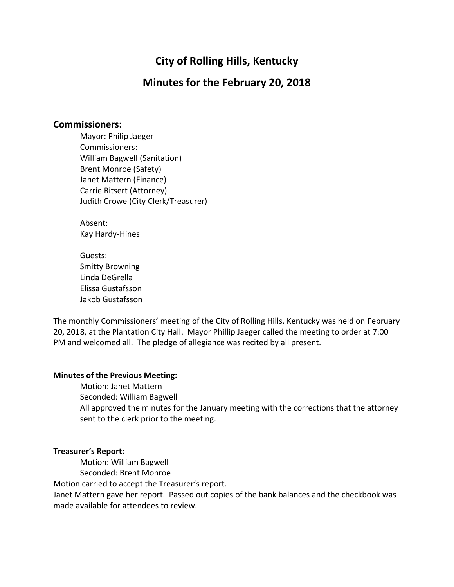# **City of Rolling Hills, Kentucky**

# **Minutes for the February 20, 2018**

#### **Commissioners:**

Mayor: Philip Jaeger Commissioners: William Bagwell (Sanitation) Brent Monroe (Safety) Janet Mattern (Finance) Carrie Ritsert (Attorney) Judith Crowe (City Clerk/Treasurer)

Absent: Kay Hardy-Hines

Guests: Smitty Browning Linda DeGrella Elissa Gustafsson Jakob Gustafsson

The monthly Commissioners' meeting of the City of Rolling Hills, Kentucky was held on February 20, 2018, at the Plantation City Hall. Mayor Phillip Jaeger called the meeting to order at 7:00 PM and welcomed all. The pledge of allegiance was recited by all present.

#### **Minutes of the Previous Meeting:**

Motion: Janet Mattern Seconded: William Bagwell All approved the minutes for the January meeting with the corrections that the attorney sent to the clerk prior to the meeting.

#### **Treasurer's Report:**

Motion: William Bagwell

Seconded: Brent Monroe

Motion carried to accept the Treasurer's report.

Janet Mattern gave her report. Passed out copies of the bank balances and the checkbook was made available for attendees to review.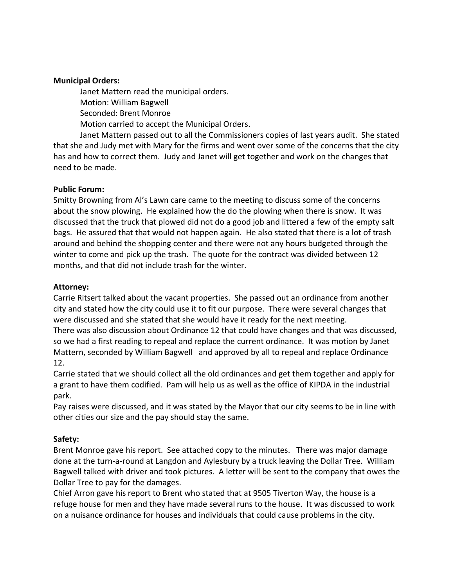#### **Municipal Orders:**

Janet Mattern read the municipal orders. Motion: William Bagwell Seconded: Brent Monroe Motion carried to accept the Municipal Orders.

Janet Mattern passed out to all the Commissioners copies of last years audit. She stated that she and Judy met with Mary for the firms and went over some of the concerns that the city has and how to correct them. Judy and Janet will get together and work on the changes that need to be made.

### **Public Forum:**

Smitty Browning from Al's Lawn care came to the meeting to discuss some of the concerns about the snow plowing. He explained how the do the plowing when there is snow. It was discussed that the truck that plowed did not do a good job and littered a few of the empty salt bags. He assured that that would not happen again. He also stated that there is a lot of trash around and behind the shopping center and there were not any hours budgeted through the winter to come and pick up the trash. The quote for the contract was divided between 12 months, and that did not include trash for the winter.

### **Attorney:**

Carrie Ritsert talked about the vacant properties. She passed out an ordinance from another city and stated how the city could use it to fit our purpose. There were several changes that were discussed and she stated that she would have it ready for the next meeting.

There was also discussion about Ordinance 12 that could have changes and that was discussed, so we had a first reading to repeal and replace the current ordinance. It was motion by Janet Mattern, seconded by William Bagwell and approved by all to repeal and replace Ordinance 12.

Carrie stated that we should collect all the old ordinances and get them together and apply for a grant to have them codified. Pam will help us as well as the office of KIPDA in the industrial park.

Pay raises were discussed, and it was stated by the Mayor that our city seems to be in line with other cities our size and the pay should stay the same.

## **Safety:**

Brent Monroe gave his report. See attached copy to the minutes. There was major damage done at the turn-a-round at Langdon and Aylesbury by a truck leaving the Dollar Tree. William Bagwell talked with driver and took pictures. A letter will be sent to the company that owes the Dollar Tree to pay for the damages.

Chief Arron gave his report to Brent who stated that at 9505 Tiverton Way, the house is a refuge house for men and they have made several runs to the house. It was discussed to work on a nuisance ordinance for houses and individuals that could cause problems in the city.